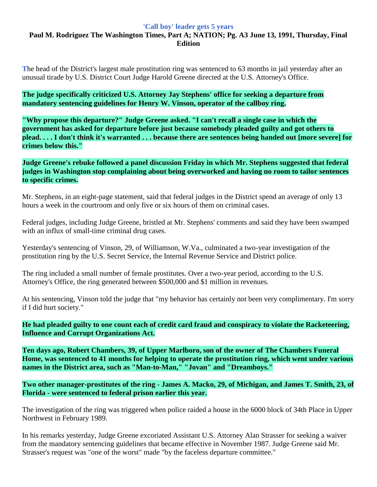## **'Call boy' leader gets 5 years**

## **Paul M. Rodriguez The Washington Times, Part A; NATION; Pg. A3 June 13, 1991, Thursday, Final Edition**

**T**he head of the District's largest male prostitution ring was sentenced to 63 months in jail yesterday after an unusual tirade by U.S. District Court Judge Harold Greene directed at the U.S. Attorney's Office.

**The judge specifically criticized U.S. Attorney Jay Stephens' office for seeking a departure from mandatory sentencing guidelines for Henry W. Vinson, operator of the callboy ring.**

**"Why propose this departure?" Judge Greene asked. "I can't recall a single case in which the government has asked for departure before just because somebody pleaded guilty and got others to plead. . . . I don't think it's warranted . . . because there are sentences being handed out [more severe] for crimes below this."**

**Judge Greene's rebuke followed a panel discussion Friday in which Mr. Stephens suggested that federal judges in Washington stop complaining about being overworked and having no room to tailor sentences to specific crimes.**

Mr. Stephens, in an eight-page statement, said that federal judges in the District spend an average of only 13 hours a week in the courtroom and only five or six hours of them on criminal cases.

Federal judges, including Judge Greene, bristled at Mr. Stephens' comments and said they have been swamped with an influx of small-time criminal drug cases.

Yesterday's sentencing of Vinson, 29, of Williamson, W.Va., culminated a two-year investigation of the prostitution ring by the U.S. Secret Service, the Internal Revenue Service and District police.

The ring included a small number of female prostitutes. Over a two-year period, according to the U.S. Attorney's Office, the ring generated between \$500,000 and \$1 million in revenues.

At his sentencing, Vinson told the judge that "my behavior has certainly not been very complimentary. I'm sorry if I did hurt society."

**He had pleaded guilty to one count each of credit card fraud and conspiracy to violate the Racketeering, Influence and Corrupt Organizations Act.**

**Ten days ago, Robert Chambers, 39, of Upper Marlboro, son of the owner of The Chambers Funeral Home, was sentenced to 41 months for helping to operate the prostitution ring, which went under various names in the District area, such as "Man-to-Man," "Jovan" and "Dreamboys."**

**Two other manager-prostitutes of the ring - James A. Macko, 29, of Michigan, and James T. Smith, 23, of Florida - were sentenced to federal prison earlier this year.**

The investigation of the ring was triggered when police raided a house in the 6000 block of 34th Place in Upper Northwest in February 1989.

In his remarks yesterday, Judge Greene excoriated Assistant U.S. Attorney Alan Strasser for seeking a waiver from the mandatory sentencing guidelines that became effective in November 1987. Judge Greene said Mr. Strasser's request was "one of the worst" made "by the faceless departure committee."